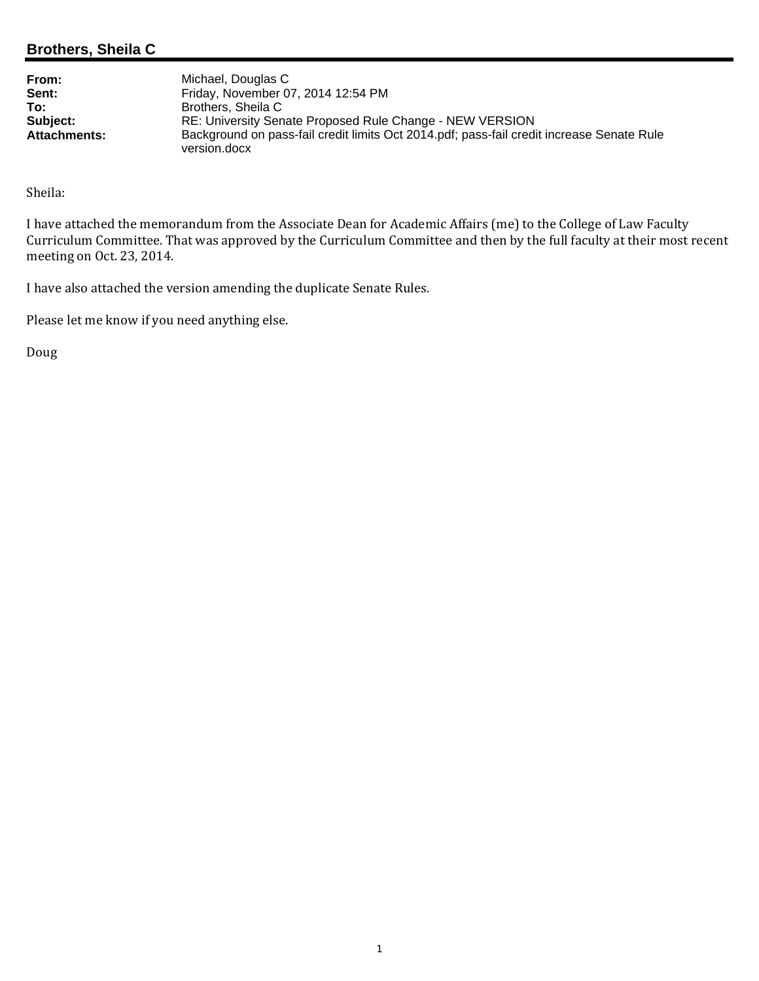# **Brothers, Sheila C**

**From:** Michael, Douglas C<br> **Sent:** Friday, November 0 **Sent:** Friday, November 07, 2014 12:54 PM **To:** Brothers, Sheila C **Subject:** RE: University Senate Proposed Rule Change - NEW VERSION **Attachments:** Background on pass-fail credit limits Oct 2014.pdf; pass-fail credit increase Senate Rule version.docx

Sheila: 

I have attached the memorandum from the Associate Dean for Academic Affairs (me) to the College of Law Faculty Curriculum Committee. That was approved by the Curriculum Committee and then by the full faculty at their most recent meeting on Oct. 23, 2014.

I have also attached the version amending the duplicate Senate Rules.

Please let me know if you need anything else.

Doug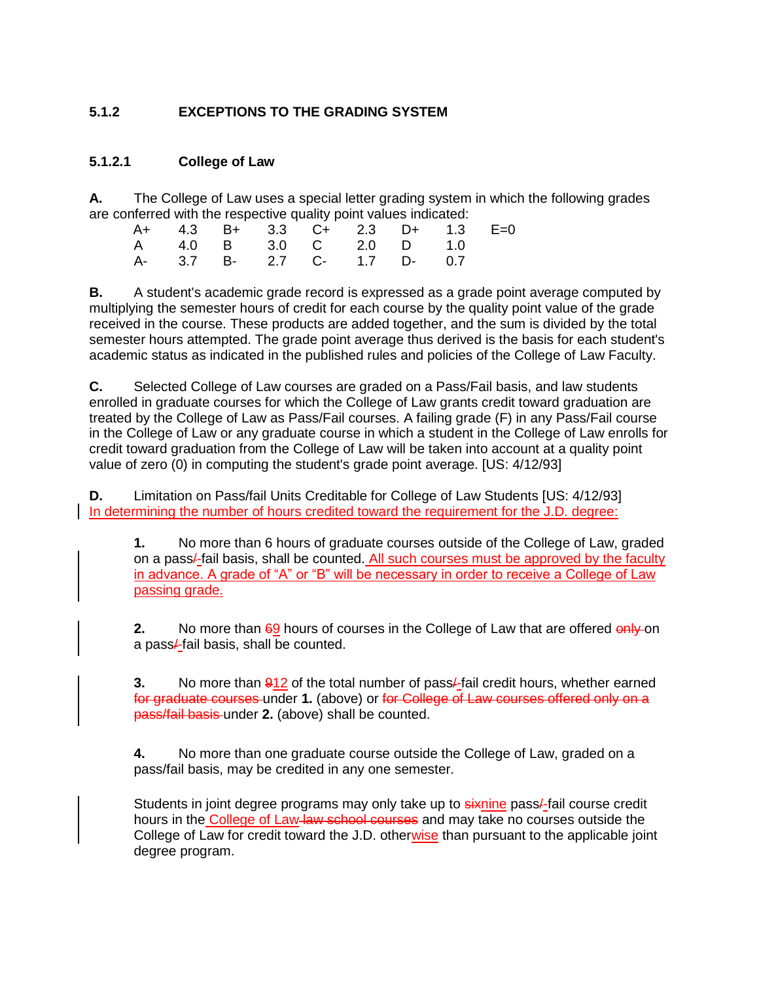# **5.1.2 EXCEPTIONS TO THE GRADING SYSTEM**

### **5.1.2.1 College of Law**

**A.** The College of Law uses a special letter grading system in which the following grades are conferred with the respective quality point values indicated:

|  |  |  | A+ 4.3 B+ 3.3 C+ 2.3 D+ 1.3 E=0<br>A 4.0 B 3.0 C 2.0 D 1.0<br>A- 3.7 B- 2.7 C- 1.7 D- 0.7 |
|--|--|--|-------------------------------------------------------------------------------------------|

**B.** A student's academic grade record is expressed as a grade point average computed by multiplying the semester hours of credit for each course by the quality point value of the grade received in the course. These products are added together, and the sum is divided by the total semester hours attempted. The grade point average thus derived is the basis for each student's academic status as indicated in the published rules and policies of the College of Law Faculty.

**C.** Selected College of Law courses are graded on a Pass/Fail basis, and law students enrolled in graduate courses for which the College of Law grants credit toward graduation are treated by the College of Law as Pass/Fail courses. A failing grade (F) in any Pass/Fail course in the College of Law or any graduate course in which a student in the College of Law enrolls for credit toward graduation from the College of Law will be taken into account at a quality point value of zero (0) in computing the student's grade point average. [US: 4/12/93]

**D.** Limitation on Pass/fail Units Creditable for College of Law Students [US: 4/12/93] In determining the number of hours credited toward the requirement for the J.D. degree:

**1.** No more than 6 hours of graduate courses outside of the College of Law, graded on a pass/-fail basis, shall be counted. All such courses must be approved by the faculty in advance. A grade of "A" or "B" will be necessary in order to receive a College of Law passing grade.

**2.** No more than 69 hours of courses in the College of Law that are offered only on a pass/-fail basis, shall be counted.

**3.** No more than  $\frac{912}{2}$  of the total number of pass/-fail credit hours, whether earned for graduate courses under **1.** (above) or for College of Law courses offered only on a pass/fail basis under **2.** (above) shall be counted.

**4.** No more than one graduate course outside the College of Law, graded on a pass/fail basis, may be credited in any one semester.

Students in joint degree programs may only take up to sixnine pass/-fail course credit hours in the College of Law-law school courses and may take no courses outside the College of Law for credit toward the J.D. otherwise than pursuant to the applicable joint degree program.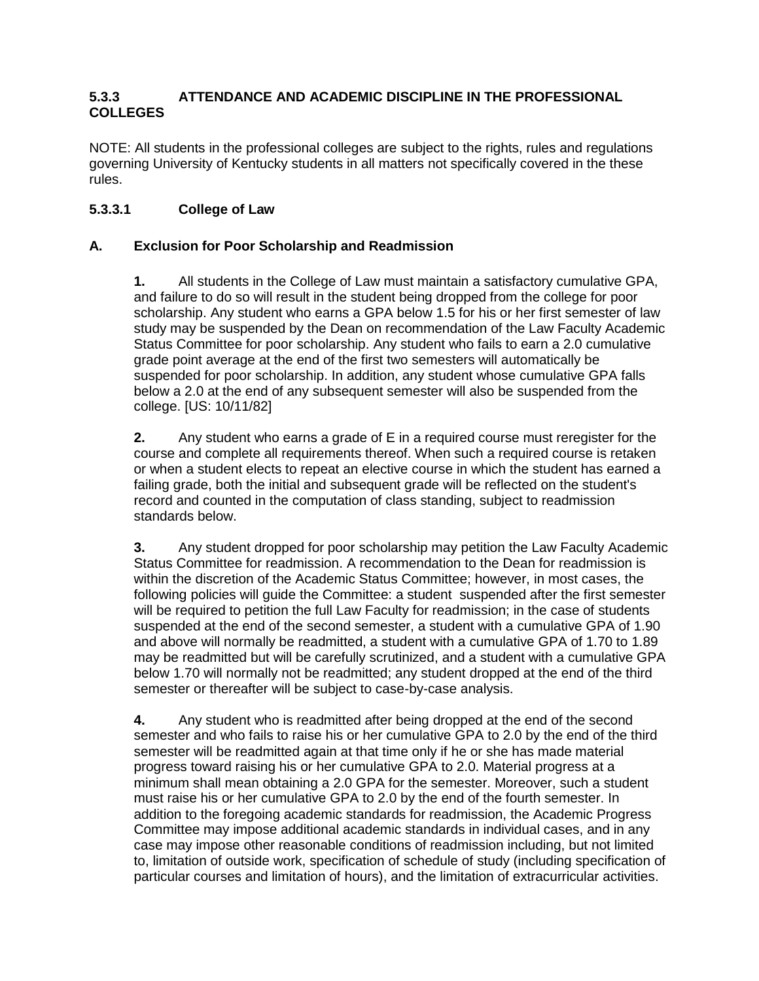## **5.3.3 ATTENDANCE AND ACADEMIC DISCIPLINE IN THE PROFESSIONAL COLLEGES**

NOTE: All students in the professional colleges are subject to the rights, rules and regulations governing University of Kentucky students in all matters not specifically covered in the these rules.

# **5.3.3.1 College of Law**

# **A. Exclusion for Poor Scholarship and Readmission**

**1.** All students in the College of Law must maintain a satisfactory cumulative GPA, and failure to do so will result in the student being dropped from the college for poor scholarship. Any student who earns a GPA below 1.5 for his or her first semester of law study may be suspended by the Dean on recommendation of the Law Faculty Academic Status Committee for poor scholarship. Any student who fails to earn a 2.0 cumulative grade point average at the end of the first two semesters will automatically be suspended for poor scholarship. In addition, any student whose cumulative GPA falls below a 2.0 at the end of any subsequent semester will also be suspended from the college. [US: 10/11/82]

**2.** Any student who earns a grade of E in a required course must reregister for the course and complete all requirements thereof. When such a required course is retaken or when a student elects to repeat an elective course in which the student has earned a failing grade, both the initial and subsequent grade will be reflected on the student's record and counted in the computation of class standing, subject to readmission standards below.

**3.** Any student dropped for poor scholarship may petition the Law Faculty Academic Status Committee for readmission. A recommendation to the Dean for readmission is within the discretion of the Academic Status Committee; however, in most cases, the following policies will guide the Committee: a student suspended after the first semester will be required to petition the full Law Faculty for readmission; in the case of students suspended at the end of the second semester, a student with a cumulative GPA of 1.90 and above will normally be readmitted, a student with a cumulative GPA of 1.70 to 1.89 may be readmitted but will be carefully scrutinized, and a student with a cumulative GPA below 1.70 will normally not be readmitted; any student dropped at the end of the third semester or thereafter will be subject to case-by-case analysis.

**4.** Any student who is readmitted after being dropped at the end of the second semester and who fails to raise his or her cumulative GPA to 2.0 by the end of the third semester will be readmitted again at that time only if he or she has made material progress toward raising his or her cumulative GPA to 2.0. Material progress at a minimum shall mean obtaining a 2.0 GPA for the semester. Moreover, such a student must raise his or her cumulative GPA to 2.0 by the end of the fourth semester. In addition to the foregoing academic standards for readmission, the Academic Progress Committee may impose additional academic standards in individual cases, and in any case may impose other reasonable conditions of readmission including, but not limited to, limitation of outside work, specification of schedule of study (including specification of particular courses and limitation of hours), and the limitation of extracurricular activities.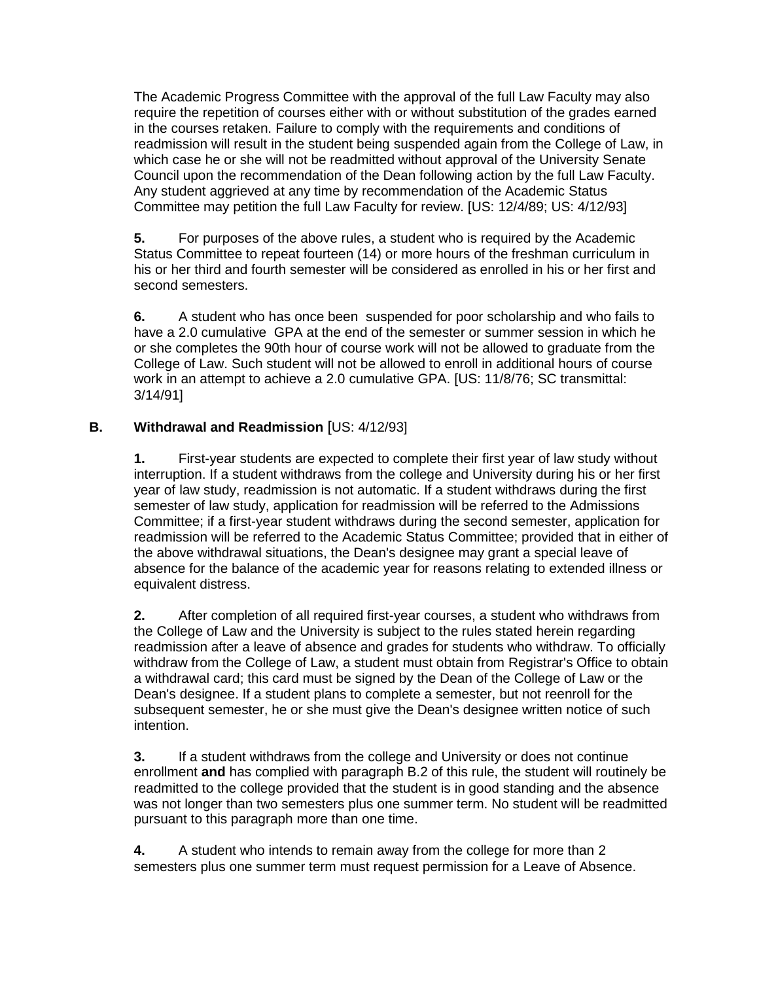The Academic Progress Committee with the approval of the full Law Faculty may also require the repetition of courses either with or without substitution of the grades earned in the courses retaken. Failure to comply with the requirements and conditions of readmission will result in the student being suspended again from the College of Law, in which case he or she will not be readmitted without approval of the University Senate Council upon the recommendation of the Dean following action by the full Law Faculty. Any student aggrieved at any time by recommendation of the Academic Status Committee may petition the full Law Faculty for review. [US: 12/4/89; US: 4/12/93]

**5.** For purposes of the above rules, a student who is required by the Academic Status Committee to repeat fourteen (14) or more hours of the freshman curriculum in his or her third and fourth semester will be considered as enrolled in his or her first and second semesters.

**6.** A student who has once been suspended for poor scholarship and who fails to have a 2.0 cumulative GPA at the end of the semester or summer session in which he or she completes the 90th hour of course work will not be allowed to graduate from the College of Law. Such student will not be allowed to enroll in additional hours of course work in an attempt to achieve a 2.0 cumulative GPA. [US: 11/8/76; SC transmittal: 3/14/91]

# **B. Withdrawal and Readmission** [US: 4/12/93]

**1.** First-year students are expected to complete their first year of law study without interruption. If a student withdraws from the college and University during his or her first year of law study, readmission is not automatic. If a student withdraws during the first semester of law study, application for readmission will be referred to the Admissions Committee; if a first-year student withdraws during the second semester, application for readmission will be referred to the Academic Status Committee; provided that in either of the above withdrawal situations, the Dean's designee may grant a special leave of absence for the balance of the academic year for reasons relating to extended illness or equivalent distress.

**2.** After completion of all required first-year courses, a student who withdraws from the College of Law and the University is subject to the rules stated herein regarding readmission after a leave of absence and grades for students who withdraw. To officially withdraw from the College of Law, a student must obtain from Registrar's Office to obtain a withdrawal card; this card must be signed by the Dean of the College of Law or the Dean's designee. If a student plans to complete a semester, but not reenroll for the subsequent semester, he or she must give the Dean's designee written notice of such intention.

**3.** If a student withdraws from the college and University or does not continue enrollment **and** has complied with paragraph B.2 of this rule, the student will routinely be readmitted to the college provided that the student is in good standing and the absence was not longer than two semesters plus one summer term. No student will be readmitted pursuant to this paragraph more than one time.

**4.** A student who intends to remain away from the college for more than 2 semesters plus one summer term must request permission for a Leave of Absence.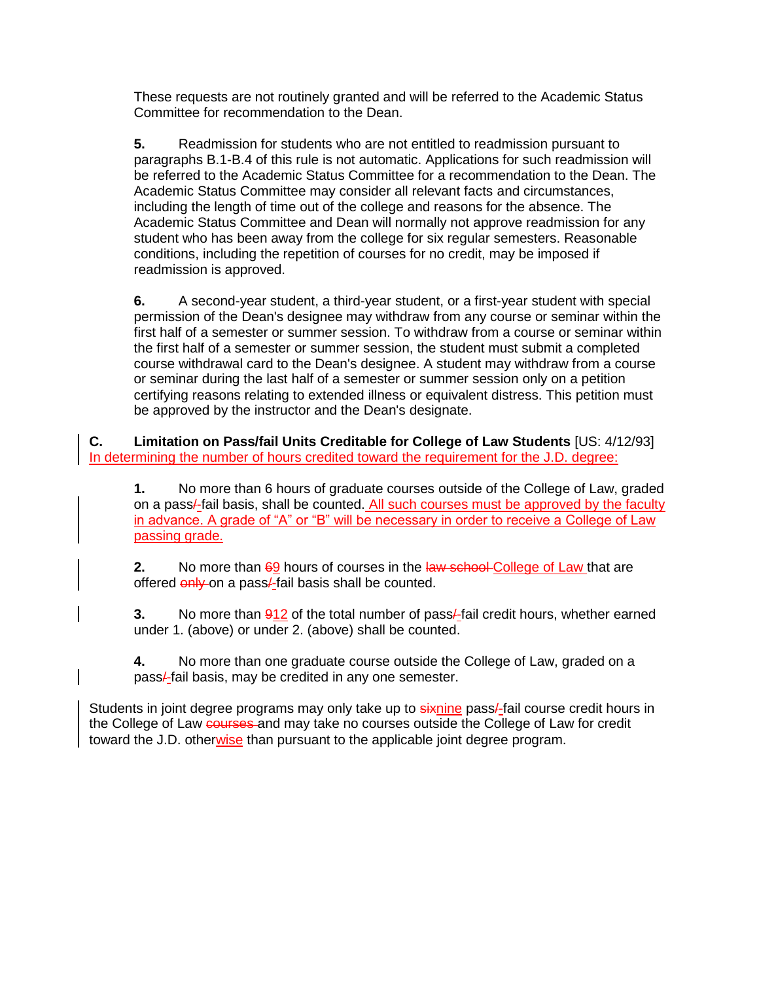These requests are not routinely granted and will be referred to the Academic Status Committee for recommendation to the Dean.

**5.** Readmission for students who are not entitled to readmission pursuant to paragraphs B.1-B.4 of this rule is not automatic. Applications for such readmission will be referred to the Academic Status Committee for a recommendation to the Dean. The Academic Status Committee may consider all relevant facts and circumstances, including the length of time out of the college and reasons for the absence. The Academic Status Committee and Dean will normally not approve readmission for any student who has been away from the college for six regular semesters. Reasonable conditions, including the repetition of courses for no credit, may be imposed if readmission is approved.

**6.** A second-year student, a third-year student, or a first-year student with special permission of the Dean's designee may withdraw from any course or seminar within the first half of a semester or summer session. To withdraw from a course or seminar within the first half of a semester or summer session, the student must submit a completed course withdrawal card to the Dean's designee. A student may withdraw from a course or seminar during the last half of a semester or summer session only on a petition certifying reasons relating to extended illness or equivalent distress. This petition must be approved by the instructor and the Dean's designate.

**C. Limitation on Pass/fail Units Creditable for College of Law Students** [US: 4/12/93] In determining the number of hours credited toward the requirement for the J.D. degree:

**1.** No more than 6 hours of graduate courses outside of the College of Law, graded on a pass/-fail basis, shall be counted. All such courses must be approved by the faculty in advance. A grade of "A" or "B" will be necessary in order to receive a College of Law passing grade.

**2.** No more than 69 hours of courses in the law school-College of Law that are offered only on a pass/-fail basis shall be counted.

**3.** No more than 912 of the total number of pass/-fail credit hours, whether earned under 1. (above) or under 2. (above) shall be counted.

**4.** No more than one graduate course outside the College of Law, graded on a pass/-fail basis, may be credited in any one semester.

Students in joint degree programs may only take up to sixnine pass/-fail course credit hours in the College of Law courses and may take no courses outside the College of Law for credit toward the J.D. otherwise than pursuant to the applicable joint degree program.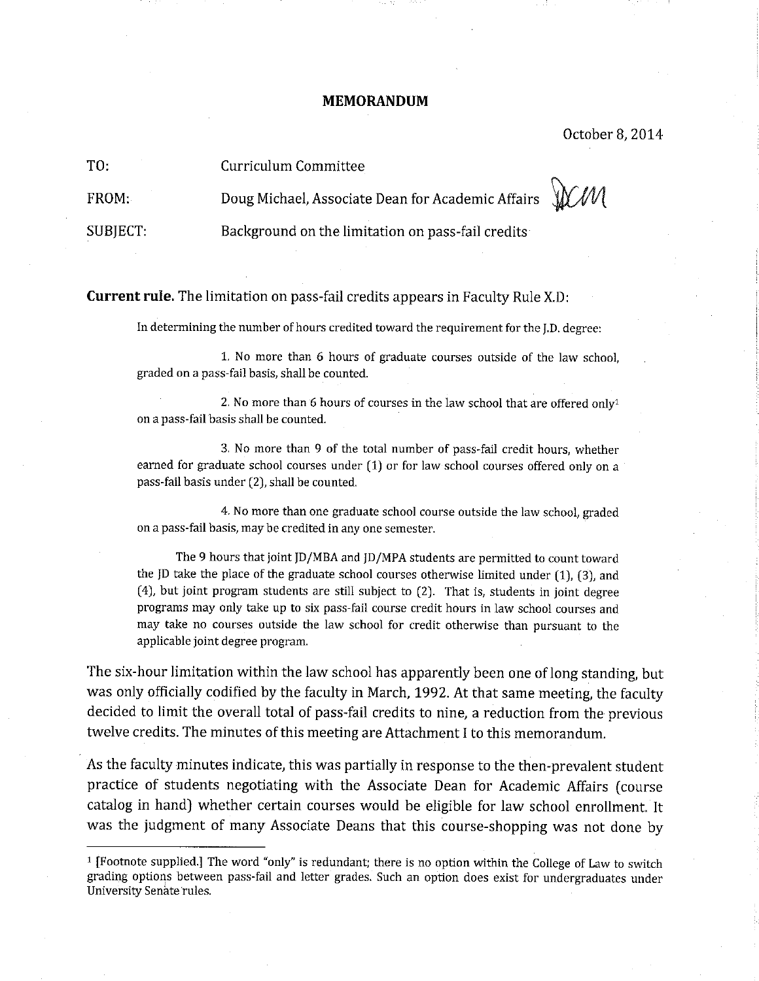### **MEMORANDUM**

October 8, 2014

TO: Curriculum Committee

Doug Michael, Associate Dean for Academic Affairs FROM:

SUBJECT:

WW

Background on the limitation on pass-fail credits

**Current rule.** The limitation on pass-fail credits appears in Faculty Rule X.D;

In determining the number of hours credited toward the requirement for the J.D. degree:

1. No more than 6 hours of graduate courses outside of the law school. graded on a pass-fail basis, shall be counted.

2. No more than 6 hours of courses in the law school that are offered only<sup>1</sup> on a pass-fail basis shall be counted.

3. No more than 9 of the total number of pass-fail credit hours, whether earned for graduate school courses under (1) or for law school courses offered only on a pass-fail basis under (2), shall be counted.

4. No more than one graduate school course outside the law school, graded on a pass-fail basis, may be credited in any one semester.

The 9 hours that joint JD/MBA and JD/MPA students are permitted to count toward the JD take the place of the graduate school courses otherwise limited under  $(1)$ ,  $(3)$ , and (4), but joint program students are still subject to (2). That is, students in joint degree programs may only take up to six pass-fail course credit hours in law school courses and may take no courses outside the law school for credit otherwise than pursuant to the applicable joint degree program.

The six-hour limitation within the law school has apparently been one of long standing, but was only officially codified by the faculty in March, 1992. At that same meeting, the faculty decided to limit the overall total of pass-fail credits to nine, a reduction from the previous twelve credits. The minutes of this meeting are Attachment I to this memorandum.

As the faculty minutes indicate, this was partially in response to the then-prevalent student practice of students negotiating with the Associate Dean for Academic Affairs (course catalog in hand) whether certain courses would be eligible for law school enrollment. It was the judgment of many Associate Deans that this course-shopping was not done by

<sup>&</sup>lt;sup>1</sup> [Footnote supplied.] The word "only" is redundant; there is no option within the College of Law to switch grading options between pass-fail and letter grades. Such an option does exist for undergraduates under University Senate rules.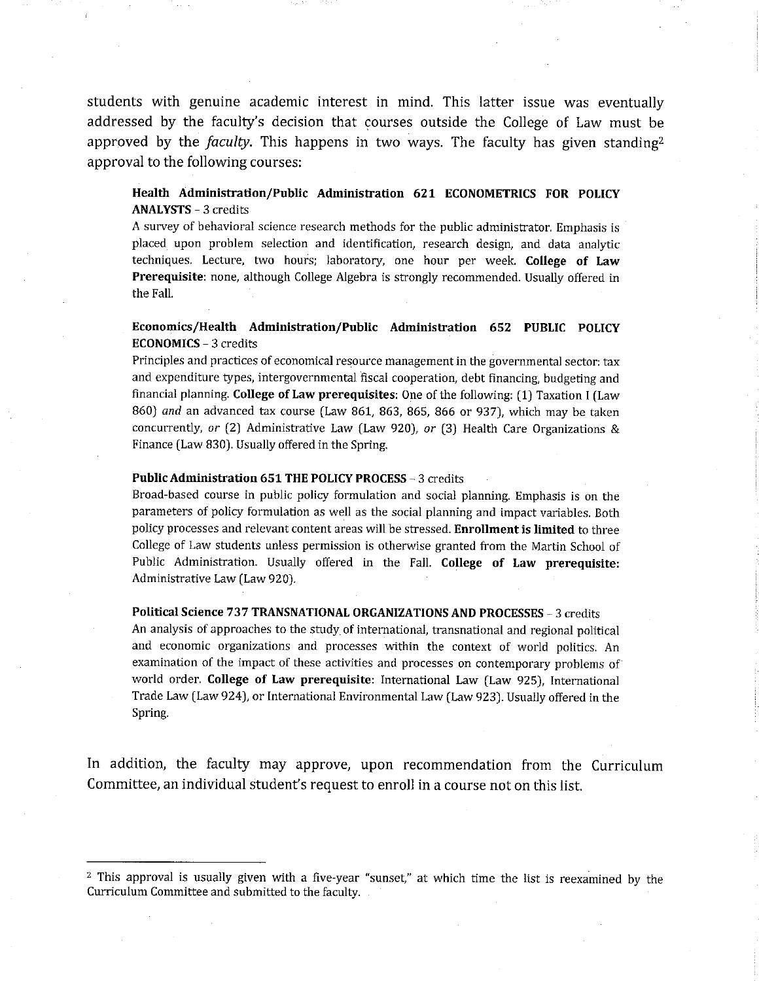students with genuine academic interest in mind. This latter issue was eventually addressed by the faculty's decision that courses outside the College of Law must be approved by the *faculty*. This happens in two ways. The faculty has given standing<sup>2</sup> approval to the following courses:

### Health Administration/Public Administration 621 ECONOMETRICS FOR POLICY **ANALYSTS - 3 credits**

A survey of behavioral science research methods for the public administrator. Emphasis is placed upon problem selection and identification, research design, and data analytic techniques. Lecture, two hours; laboratory, one hour per week. College of Law **Prerequisite:** none, although College Algebra is strongly recommended. Usually offered in the Fall.

### Economics/Health Administration/Public Administration 652 PUBLIC POLICY **ECONOMICS - 3 credits**

Principles and practices of economical resource management in the governmental sector: tax and expenditure types, intergovernmental fiscal cooperation, debt financing, budgeting and financial planning. College of Law prerequisites: One of the following: (1) Taxation I (Law 860) and an advanced tax course (Law 861, 863, 865, 866 or 937), which may be taken concurrently, or  $(2)$  Administrative Law (Law 920), or  $(3)$  Health Care Organizations & Finance (Law 830). Usually offered in the Spring.

#### Public Administration 651 THE POLICY PROCESS - 3 credits

Broad-based course in public policy formulation and social planning. Emphasis is on the parameters of policy formulation as well as the social planning and impact variables. Both policy processes and relevant content areas will be stressed. Enrollment is limited to three College of Law students unless permission is otherwise granted from the Martin School of Public Administration. Usually offered in the Fall. College of Law prerequisite: Administrative Law (Law 920).

#### Political Science 737 TRANSNATIONAL ORGANIZATIONS AND PROCESSES - 3 credits

An analysis of approaches to the study of international, transnational and regional political and economic organizations and processes within the context of world politics. An examination of the impact of these activities and processes on contemporary problems of world order. College of Law prerequisite: International Law (Law 925), International Trade Law (Law 924), or International Environmental Law (Law 923). Usually offered in the Spring.

In addition, the faculty may approve, upon recommendation from the Curriculum Committee, an individual student's request to enroll in a course not on this list.

<sup>&</sup>lt;sup>2</sup> This approval is usually given with a five-year "sunset," at which time the list is reexamined by the Curriculum Committee and submitted to the faculty.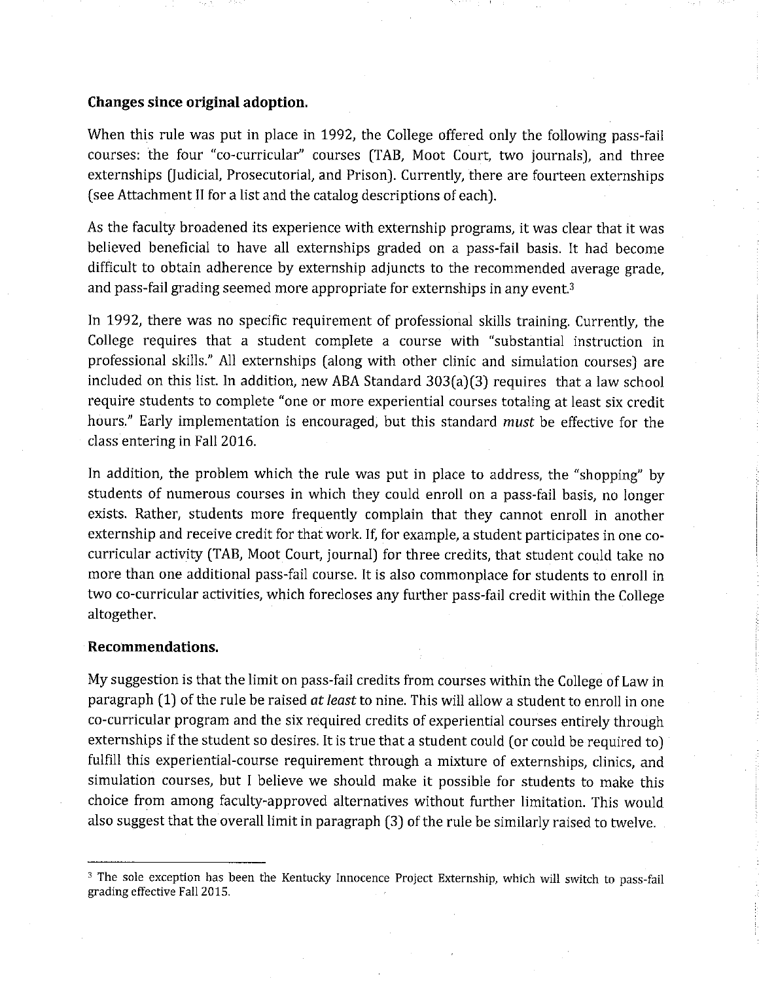### Changes since original adoption.

When this rule was put in place in 1992, the College offered only the following pass-fail courses: the four "co-curricular" courses (TAB, Moot Court, two journals), and three externships (Judicial, Prosecutorial, and Prison). Currently, there are fourteen externships (see Attachment II for a list and the catalog descriptions of each).

As the faculty broadened its experience with externship programs, it was clear that it was believed beneficial to have all externships graded on a pass-fail basis. It had become difficult to obtain adherence by externship adjuncts to the recommended average grade. and pass-fail grading seemed more appropriate for externships in any event.<sup>3</sup>

In 1992, there was no specific requirement of professional skills training. Currently, the College requires that a student complete a course with "substantial instruction in professional skills." All externships (along with other clinic and simulation courses) are included on this list. In addition, new ABA Standard 303(a)(3) requires that a law school require students to complete "one or more experiential courses totaling at least six credit hours." Early implementation is encouraged, but this standard must be effective for the class entering in Fall 2016.

In addition, the problem which the rule was put in place to address, the "shopping" by students of numerous courses in which they could enroll on a pass-fail basis, no longer exists. Rather, students more frequently complain that they cannot enroll in another externship and receive credit for that work. If, for example, a student participates in one cocurricular activity (TAB, Moot Court, journal) for three credits, that student could take no more than one additional pass-fail course. It is also commonplace for students to enroll in two co-curricular activities, which forecloses any further pass-fail credit within the College altogether.

### Recommendations.

My suggestion is that the limit on pass-fail credits from courses within the College of Law in paragraph (1) of the rule be raised at least to nine. This will allow a student to enroll in one co-curricular program and the six required credits of experiential courses entirely through externships if the student so desires. It is true that a student could (or could be required to) fulfill this experiential-course requirement through a mixture of externships, clinics, and simulation courses, but I believe we should make it possible for students to make this choice from among faculty-approved alternatives without further limitation. This would also suggest that the overall limit in paragraph (3) of the rule be similarly raised to twelve.

<sup>&</sup>lt;sup>3</sup> The sole exception has been the Kentucky Innocence Project Externship, which will switch to pass-fail grading effective Fall 2015.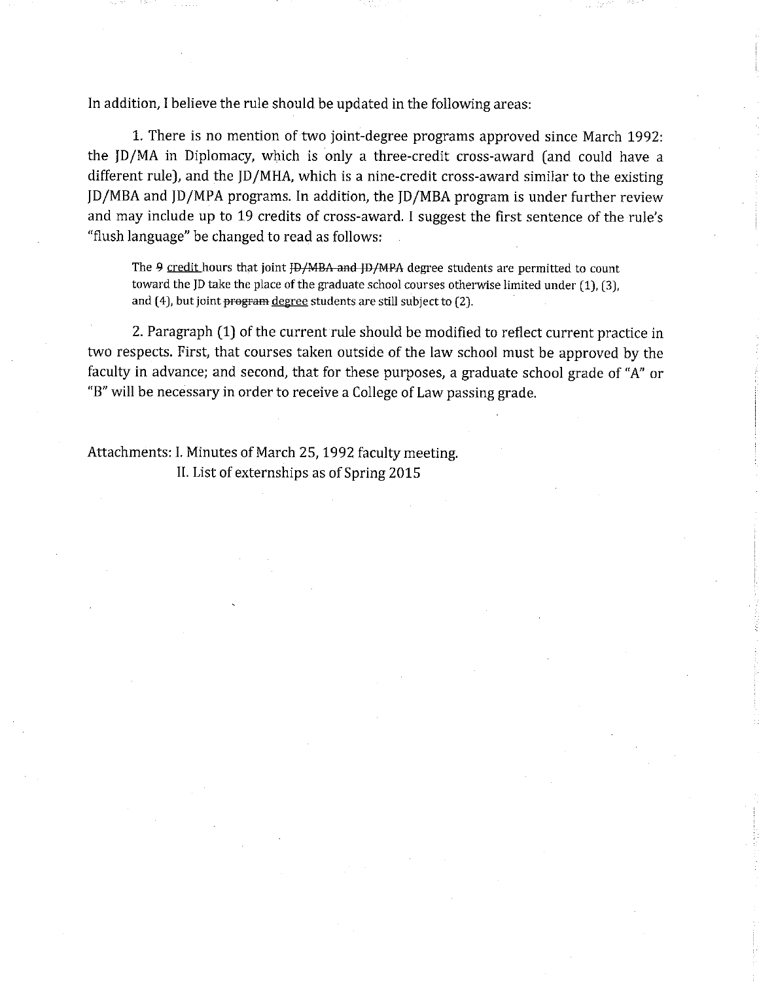In addition, I believe the rule should be updated in the following areas:

1. There is no mention of two joint-degree programs approved since March 1992: the JD/MA in Diplomacy, which is only a three-credit cross-award (and could have a different rule), and the JD/MHA, which is a nine-credit cross-award similar to the existing ID/MBA and ID/MPA programs. In addition, the ID/MBA program is under further review and may include up to 19 credits of cross-award. I suggest the first sentence of the rule's "flush language" be changed to read as follows:

The 9 credit hours that joint HD/MBA and HD/MPA degree students are permitted to count toward the JD take the place of the graduate school courses otherwise limited under (1), (3), and (4), but joint program degree students are still subject to (2).

2. Paragraph (1) of the current rule should be modified to reflect current practice in two respects. First, that courses taken outside of the law school must be approved by the faculty in advance; and second, that for these purposes, a graduate school grade of "A" or "B" will be necessary in order to receive a College of Law passing grade.

Attachments: I. Minutes of March 25, 1992 faculty meeting. II. List of externships as of Spring 2015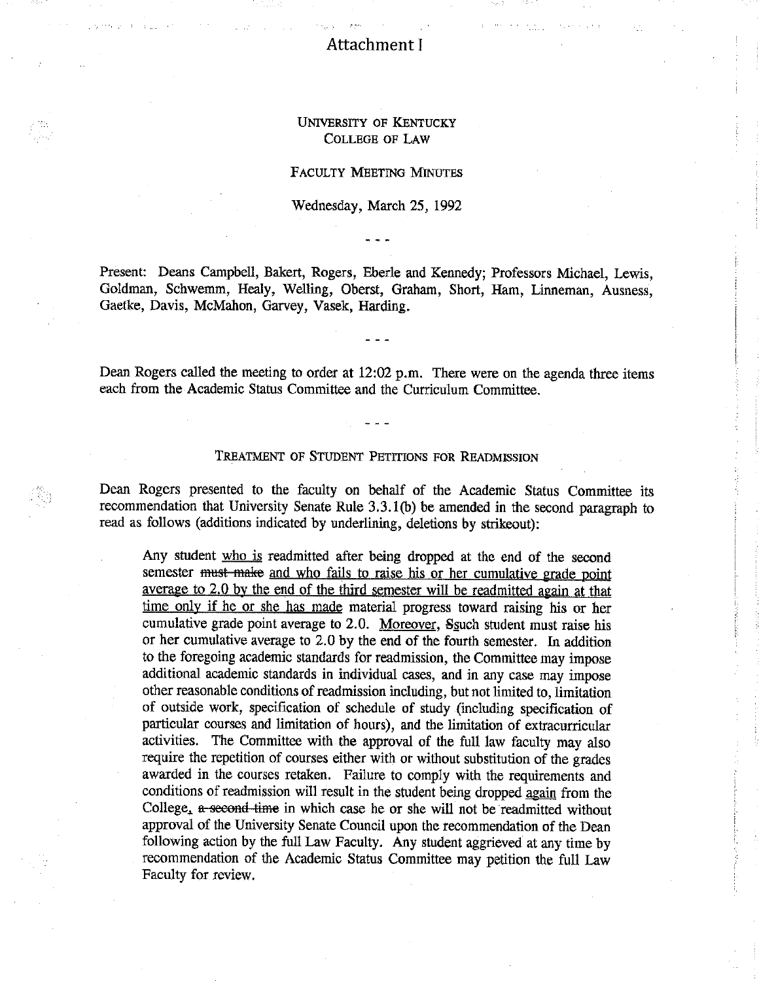## Attachment I

### **UNIVERSITY OF KENTUCKY COLLEGE OF LAW**

### **FACULTY MEETING MINUTES**

### Wednesday, March 25, 1992

Present: Deans Campbell, Bakert, Rogers, Eberle and Kennedy; Professors Michael, Lewis, Goldman, Schwemm, Healy, Welling, Oberst, Graham, Short, Ham, Linneman, Ausness, Gaetke, Davis, McMahon, Garvey, Vasek, Harding.

Dean Rogers called the meeting to order at 12:02 p.m. There were on the agenda three items each from the Academic Status Committee and the Curriculum Committee.

#### TREATMENT OF STUDENT PETITIONS FOR READMISSION

Dean Rogers presented to the faculty on behalf of the Academic Status Committee its recommendation that University Senate Rule 3.3.1(b) be amended in the second paragraph to read as follows (additions indicated by underlining, deletions by strikeout):

Any student who is readmitted after being dropped at the end of the second semester must make and who fails to raise his or her cumulative grade point average to 2.0 by the end of the third semester will be readmitted again at that time only if he or she has made material progress toward raising his or her cumulative grade point average to 2.0. Moreover, Ssuch student must raise his or her cumulative average to 2.0 by the end of the fourth semester. In addition to the foregoing academic standards for readmission, the Committee may impose additional academic standards in individual cases, and in any case may impose other reasonable conditions of readmission including, but not limited to, limitation of outside work, specification of schedule of study (including specification of particular courses and limitation of hours), and the limitation of extracurricular activities. The Committee with the approval of the full law faculty may also require the repetition of courses either with or without substitution of the grades awarded in the courses retaken. Failure to comply with the requirements and conditions of readmission will result in the student being dropped again from the College, a second time in which case he or she will not be readmitted without approval of the University Senate Council upon the recommendation of the Dean following action by the full Law Faculty. Any student aggrieved at any time by recommendation of the Academic Status Committee may petition the full Law Faculty for review.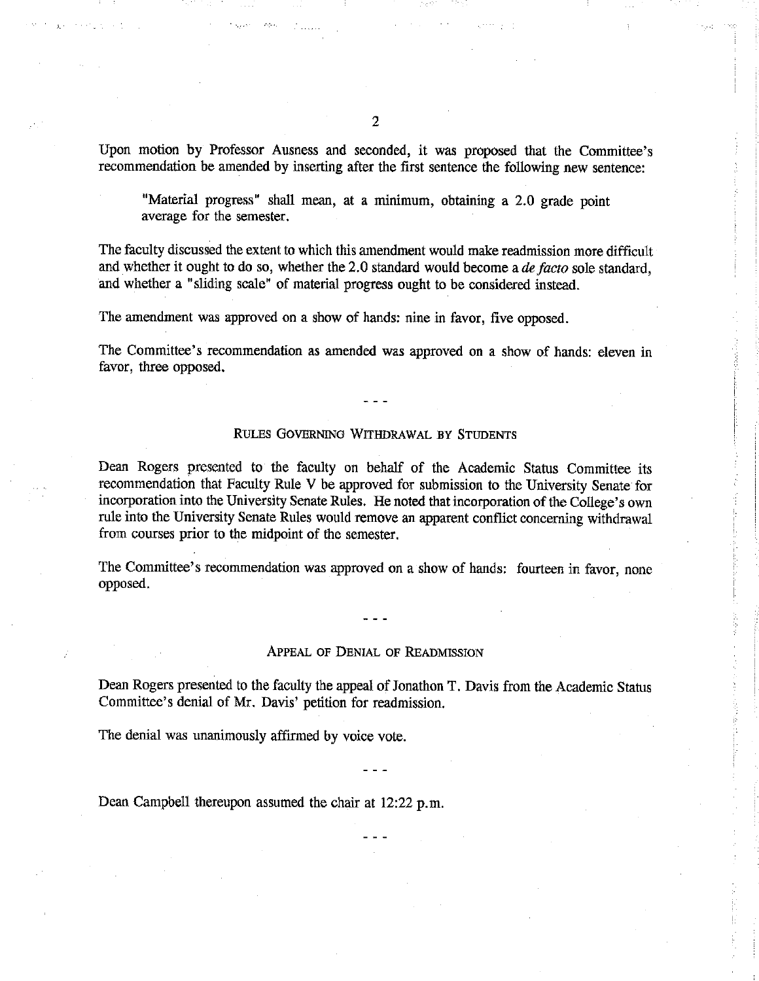Upon motion by Professor Ausness and seconded, it was proposed that the Committee's recommendation be amended by inserting after the first sentence the following new sentence:

"Material progress" shall mean, at a minimum, obtaining a 2.0 grade point average for the semester.

The faculty discussed the extent to which this amendment would make readmission more difficult and whether it ought to do so, whether the 2.0 standard would become a *de facto* sole standard. and whether a "sliding scale" of material progress ought to be considered instead.

The amendment was approved on a show of hands: nine in favor, five opposed.

The Committee's recommendation as amended was approved on a show of hands: eleven in favor, three opposed.

#### RULES GOVERNING WITHDRAWAL BY STUDENTS

Dean Rogers presented to the faculty on behalf of the Academic Status Committee its recommendation that Faculty Rule V be approved for submission to the University Senate for incorporation into the University Senate Rules. He noted that incorporation of the College's own rule into the University Senate Rules would remove an apparent conflict concerning withdrawal from courses prior to the midpoint of the semester.

The Committee's recommendation was approved on a show of hands: fourteen in favor, none opposed.

#### APPEAL OF DENIAL OF READMISSION

Dean Rogers presented to the faculty the appeal of Jonathon T. Davis from the Academic Status Committee's denial of Mr. Davis' petition for readmission.

The denial was unanimously affirmed by voice vote.

Dean Campbell thereupon assumed the chair at 12:22 p.m.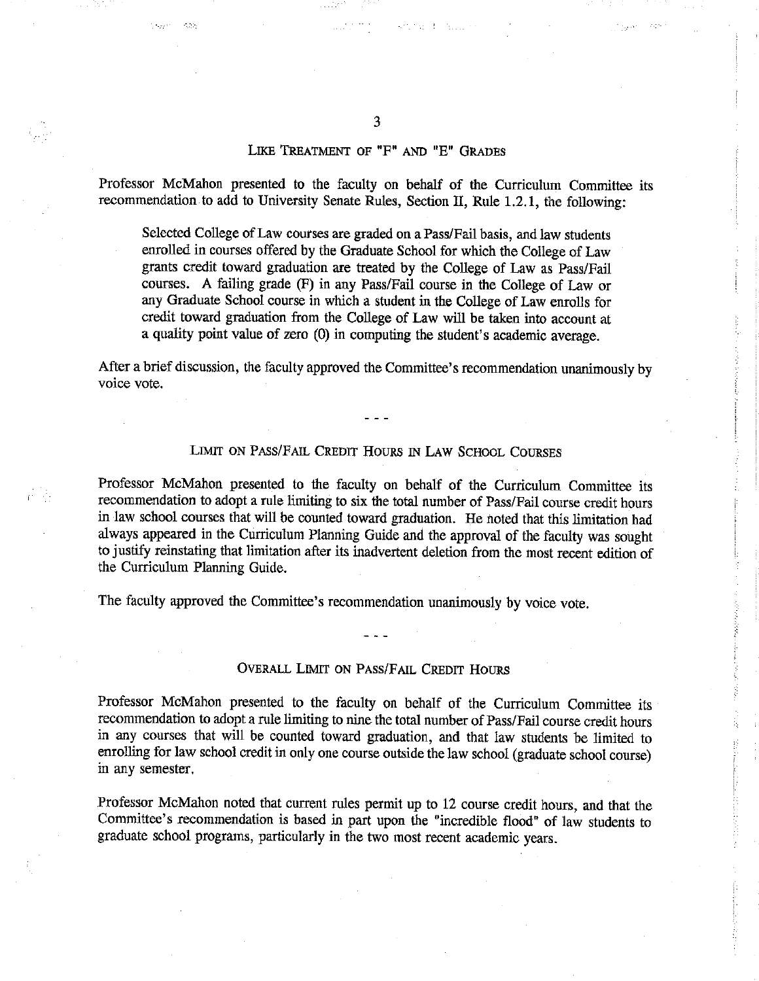### LIKE TREATMENT OF "F" AND "E" GRADES

Professor McMahon presented to the faculty on behalf of the Curriculum Committee its recommendation to add to University Senate Rules, Section II, Rule 1.2.1, the following:

Selected College of Law courses are graded on a Pass/Fail basis, and law students enrolled in courses offered by the Graduate School for which the College of Law grants credit toward graduation are treated by the College of Law as Pass/Fail courses. A failing grade (F) in any Pass/Fail course in the College of Law or any Graduate School course in which a student in the College of Law enrolls for credit toward graduation from the College of Law will be taken into account at a quality point value of zero (0) in computing the student's academic average.

After a brief discussion, the faculty approved the Committee's recommendation unanimously by voice vote.

### LIMIT ON PASS/FAIL CREDIT HOURS IN LAW SCHOOL COURSES

Professor McMahon presented to the faculty on behalf of the Curriculum Committee its recommendation to adopt a rule limiting to six the total number of Pass/Fail course credit hours in law school courses that will be counted toward graduation. He noted that this limitation had always appeared in the Curriculum Planning Guide and the approval of the faculty was sought to justify reinstating that limitation after its inadvertent deletion from the most recent edition of the Curriculum Planning Guide.

The faculty approved the Committee's recommendation unanimously by voice vote.

### OVERALL LIMIT ON PASS/FAIL CREDIT HOURS

Professor McMahon presented to the faculty on behalf of the Curriculum Committee its recommendation to adopt a rule limiting to nine the total number of Pass/Fail course credit hours in any courses that will be counted toward graduation, and that law students be limited to enrolling for law school credit in only one course outside the law school (graduate school course) in any semester.

Professor McMahon noted that current rules permit up to 12 course credit hours, and that the Committee's recommendation is based in part upon the "incredible flood" of law students to graduate school programs, particularly in the two most recent academic years.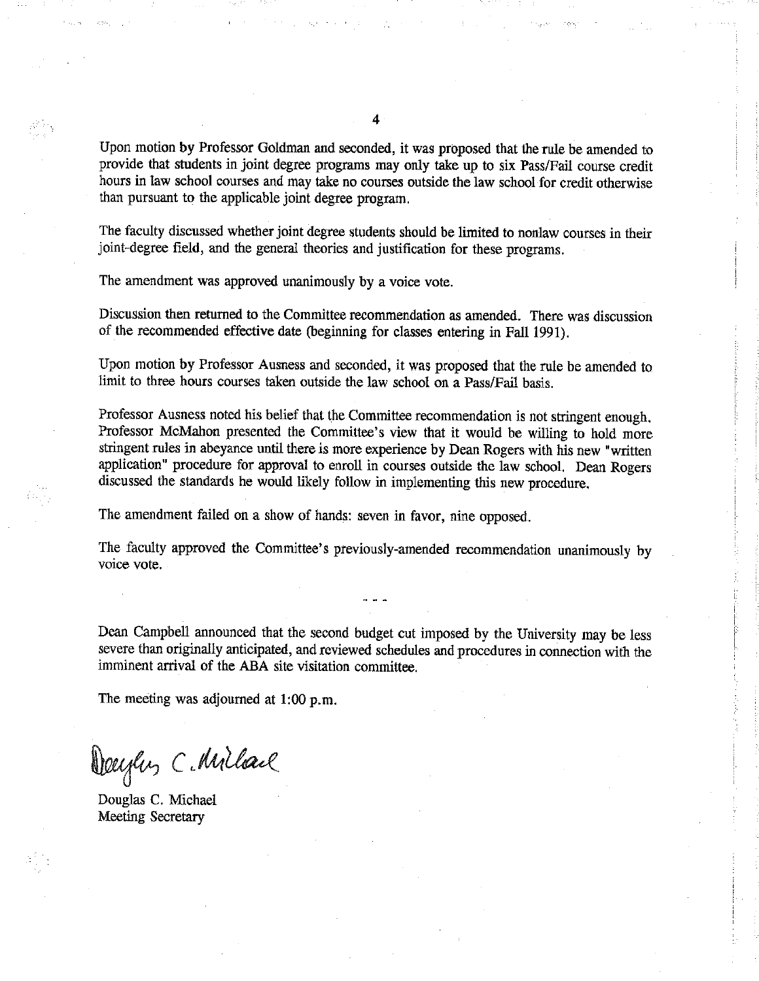Upon motion by Professor Goldman and seconded, it was proposed that the rule be amended to provide that students in joint degree programs may only take up to six Pass/Fail course credit hours in law school courses and may take no courses outside the law school for credit otherwise than pursuant to the applicable joint degree program.

The faculty discussed whether joint degree students should be limited to nonlaw courses in their joint-degree field, and the general theories and justification for these programs.

The amendment was approved unanimously by a voice vote.

Discussion then returned to the Committee recommendation as amended. There was discussion of the recommended effective date (beginning for classes entering in Fall 1991).

Upon motion by Professor Ausness and seconded, it was proposed that the rule be amended to limit to three hours courses taken outside the law school on a Pass/Fail basis.

Professor Ausness noted his belief that the Committee recommendation is not stringent enough. Professor McMahon presented the Committee's view that it would be willing to hold more stringent rules in abeyance until there is more experience by Dean Rogers with his new "written application" procedure for approval to enroll in courses outside the law school. Dean Rogers discussed the standards he would likely follow in implementing this new procedure.

The amendment failed on a show of hands: seven in favor, nine opposed.

The faculty approved the Committee's previously-amended recommendation unanimously by voice vote.

Dean Campbell announced that the second budget cut imposed by the University may be less severe than originally anticipated, and reviewed schedules and procedures in connection with the imminent arrival of the ABA site visitation committee.

The meeting was adjourned at  $1:00 \text{ p.m.}$ 

Deeyley C. Millare

Douglas C. Michael Meeting Secretary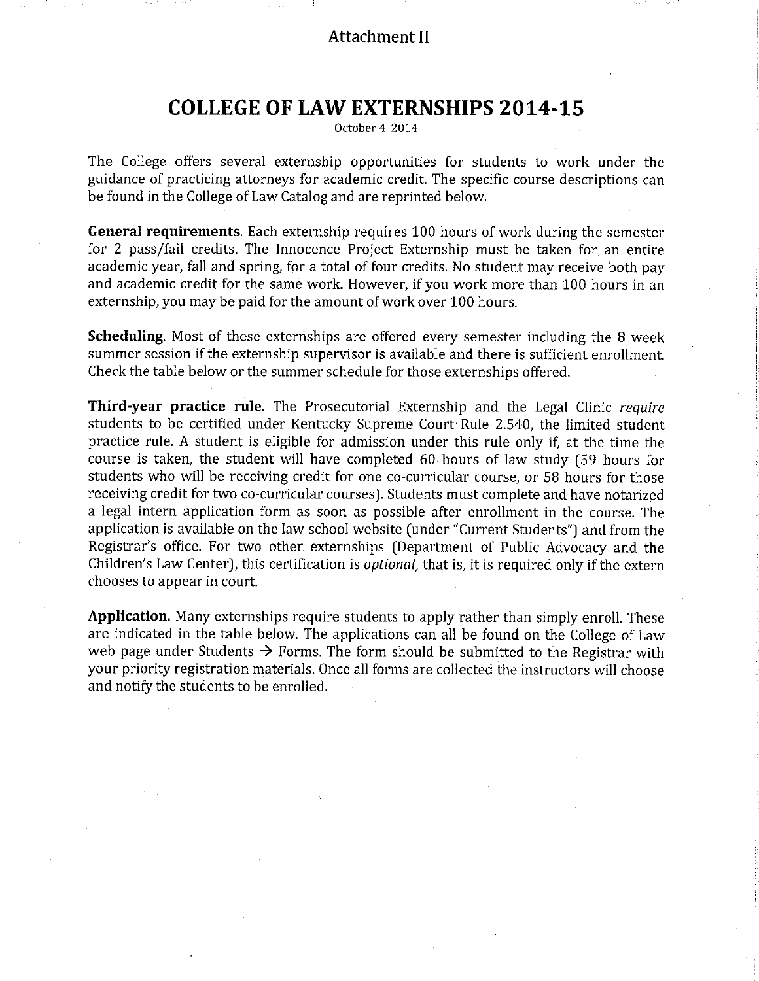# **Attachment II**

# **COLLEGE OF LAW EXTERNSHIPS 2014-15**

October 4, 2014

The College offers several externship opportunities for students to work under the guidance of practicing attorneys for academic credit. The specific course descriptions can be found in the College of Law Catalog and are reprinted below.

General requirements. Each externship requires 100 hours of work during the semester for 2 pass/fail credits. The Innocence Project Externship must be taken for an entire academic year, fall and spring, for a total of four credits. No student may receive both pay and academic credit for the same work. However, if you work more than 100 hours in an externship, you may be paid for the amount of work over 100 hours.

**Scheduling.** Most of these externships are offered every semester including the 8 week summer session if the externship supervisor is available and there is sufficient enrollment. Check the table below or the summer schedule for those externships offered.

Third-year practice rule. The Prosecutorial Externship and the Legal Clinic require students to be certified under Kentucky Supreme Court Rule 2.540, the limited student practice rule. A student is eligible for admission under this rule only if, at the time the course is taken, the student will have completed 60 hours of law study (59 hours for students who will be receiving credit for one co-curricular course, or 58 hours for those receiving credit for two co-curricular courses). Students must complete and have notarized a legal intern application form as soon as possible after enrollment in the course. The application is available on the law school website (under "Current Students") and from the Registrar's office. For two other externships (Department of Public Advocacy and the Children's Law Center), this certification is *optional*, that is, it is required only if the extern chooses to appear in court.

**Application.** Many externships require students to apply rather than simply enroll. These are indicated in the table below. The applications can all be found on the College of Law web page under Students  $\rightarrow$  Forms. The form should be submitted to the Registrar with your priority registration materials. Once all forms are collected the instructors will choose and notify the students to be enrolled.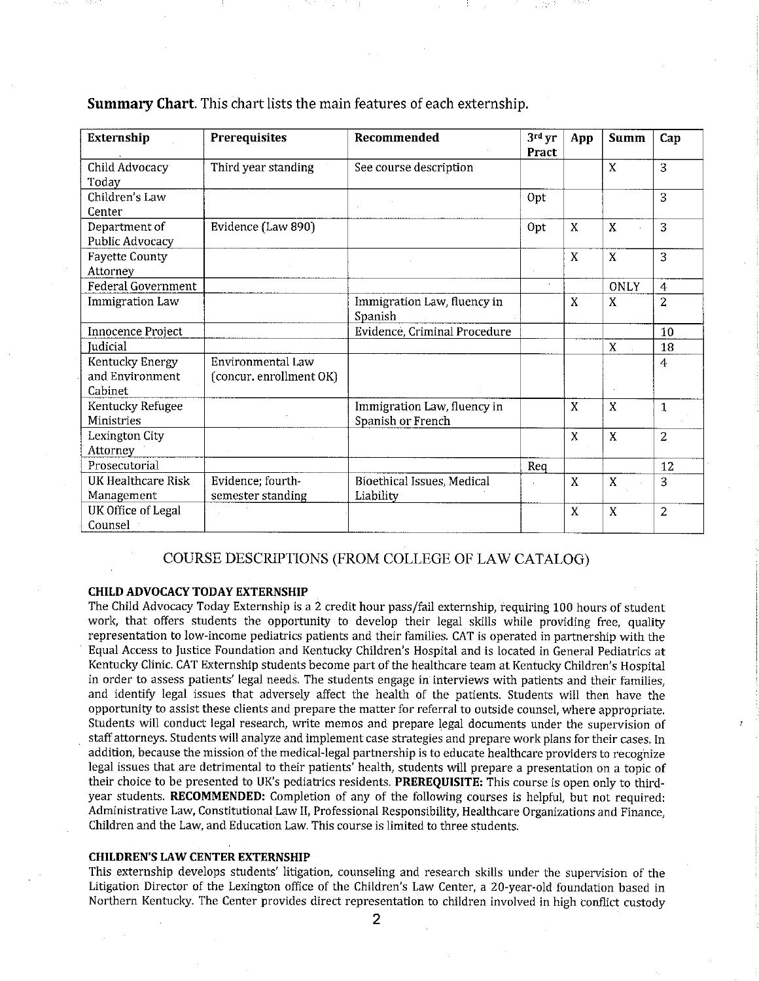| Externship                                    | <b>Prerequisites</b>                         | Recommended                                      | 3rd yr<br>Pract | App              | <b>Summ</b> | Cap            |
|-----------------------------------------------|----------------------------------------------|--------------------------------------------------|-----------------|------------------|-------------|----------------|
| Child Advocacy<br>Todav                       | Third year standing                          | See course description                           |                 |                  | X           | 3              |
| Children's Law<br>Center                      |                                              |                                                  | Opt             |                  |             | 3              |
| Department of<br>Public Advocacy              | Evidence (Law 890)                           |                                                  | Opt             | X                | X           | 3              |
| <b>Fayette County</b><br>Attorney             |                                              |                                                  |                 | X                | X           | 3              |
| <b>Federal Government</b>                     |                                              |                                                  | $\epsilon$      |                  | <b>ONLY</b> | 4              |
| <b>Immigration Law</b>                        |                                              | Immigration Law, fluency in<br>Spanish           |                 | X                | X           | $\overline{2}$ |
| Innocence Project                             |                                              | Evidence, Criminal Procedure                     |                 |                  |             | 10             |
| Judicial                                      |                                              |                                                  |                 |                  | X           | 18             |
| Kentucky Energy<br>and Environment<br>Cabinet | Environmental Law<br>(concur. enrollment OK) |                                                  |                 |                  |             | $\overline{4}$ |
| Kentucky Refugee<br>Ministries                |                                              | Immigration Law, fluency in<br>Spanish or French |                 | X                | X           | $\mathbf{1}$   |
| Lexington City<br>Attorney                    |                                              |                                                  |                 | $\boldsymbol{X}$ | X           | $\overline{2}$ |
| Prosecutorial                                 |                                              |                                                  | Req             |                  |             | 12             |
| <b>UK Healthcare Risk</b><br>Management       | Evidence; fourth-<br>semester standing       | Bioethical Issues, Medical<br>Liability          |                 | X                | X           | 3              |
| <b>UK Office of Legal</b><br>Counsel          |                                              |                                                  |                 | X                | X           | 2              |

**Summary Chart.** This chart lists the main features of each externship.

### COURSE DESCRIPTIONS (FROM COLLEGE OF LAW CATALOG)

#### **CHILD ADVOCACY TODAY EXTERNSHIP**

The Child Advocacy Today Externship is a 2 credit hour pass/fail externship, requiring 100 hours of student work, that offers students the opportunity to develop their legal skills while providing free, quality representation to low-income pediatrics patients and their families. CAT is operated in partnership with the Equal Access to Justice Foundation and Kentucky Children's Hospital and is located in General Pediatrics at Kentucky Clinic. CAT Externship students become part of the healthcare team at Kentucky Children's Hospital in order to assess patients' legal needs. The students engage in interviews with patients and their families, and identify legal issues that adversely affect the health of the patients. Students will then have the opportunity to assist these clients and prepare the matter for referral to outside counsel, where appropriate. Students will conduct legal research, write memos and prepare legal documents under the supervision of staff attorneys. Students will analyze and implement case strategies and prepare work plans for their cases. In addition, because the mission of the medical-legal partnership is to educate healthcare providers to recognize legal issues that are detrimental to their patients' health, students will prepare a presentation on a topic of their choice to be presented to UK's pediatrics residents. PREREQUISITE: This course is open only to thirdyear students. RECOMMENDED: Completion of any of the following courses is helpful, but not required: Administrative Law, Constitutional Law II, Professional Responsibility, Healthcare Organizations and Finance. Children and the Law, and Education Law. This course is limited to three students.

#### **CHILDREN'S LAW CENTER EXTERNSHIP**

This externship develops students' litigation, counseling and research skills under the supervision of the Litigation Director of the Lexington office of the Children's Law Center, a 20-year-old foundation based in Northern Kentucky. The Center provides direct representation to children involved in high conflict custody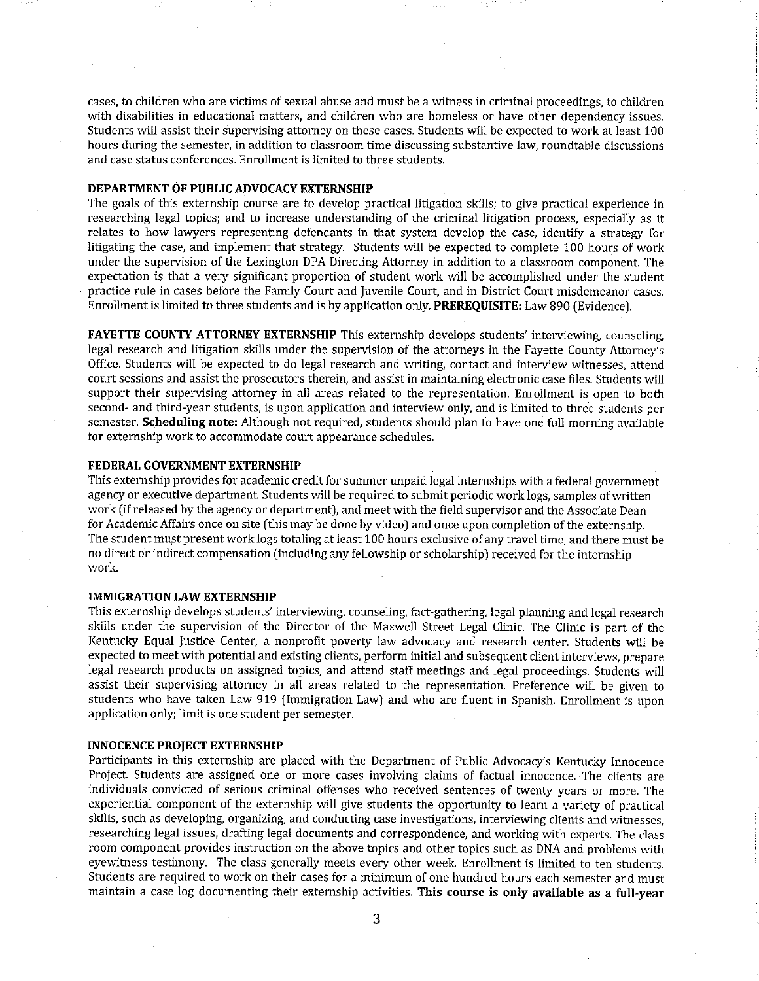cases, to children who are victims of sexual abuse and must be a witness in criminal proceedings, to children with disabilities in educational matters, and children who are homeless or have other dependency issues. Students will assist their supervising attorney on these cases. Students will be expected to work at least 100 hours during the semester, in addition to classroom time discussing substantive law, roundtable discussions and case status conferences. Enrollment is limited to three students.

#### DEPARTMENT OF PUBLIC ADVOCACY EXTERNSHIP

The goals of this externship course are to develop practical litigation skills; to give practical experience in researching legal topics; and to increase understanding of the criminal litigation process, especially as it relates to how lawyers representing defendants in that system develop the case, identify a strategy for litigating the case, and implement that strategy. Students will be expected to complete 100 hours of work under the supervision of the Lexington DPA Directing Attorney in addition to a classroom component. The expectation is that a very significant proportion of student work will be accomplished under the student practice rule in cases before the Family Court and Juvenile Court, and in District Court misdemeanor cases. Enrollment is limited to three students and is by application only. PREREQUISITE: Law 890 (Evidence).

FAYETTE COUNTY ATTORNEY EXTERNSHIP This externship develops students' interviewing, counseling, legal research and litigation skills under the supervision of the attorneys in the Fayette County Attorney's Office. Students will be expected to do legal research and writing, contact and interview witnesses, attend court sessions and assist the prosecutors therein, and assist in maintaining electronic case files. Students will support their supervising attorney in all areas related to the representation. Enrollment is open to both second- and third-year students, is upon application and interview only, and is limited to three students per semester. Scheduling note: Although not required, students should plan to have one full morning available for externship work to accommodate court appearance schedules.

#### FEDERAL GOVERNMENT EXTERNSHIP

This externship provides for academic credit for summer unpaid legal internships with a federal government agency or executive department. Students will be required to submit periodic work logs, samples of written work (if released by the agency or department), and meet with the field supervisor and the Associate Dean for Academic Affairs once on site (this may be done by video) and once upon completion of the externship. The student must present work logs totaling at least 100 hours exclusive of any travel time, and there must be no direct or indirect compensation (including any fellowship or scholarship) received for the internship work.

### **IMMIGRATION LAW EXTERNSHIP**

This externship develops students' interviewing, counseling, fact-gathering, legal planning and legal research skills under the supervision of the Director of the Maxwell Street Legal Clinic. The Clinic is part of the Kentucky Equal Justice Center, a nonprofit poverty law advocacy and research center. Students will be expected to meet with potential and existing clients, perform initial and subsequent client interviews, prepare legal research products on assigned topics, and attend staff meetings and legal proceedings. Students will assist their supervising attorney in all areas related to the representation. Preference will be given to students who have taken Law 919 (Immigration Law) and who are fluent in Spanish. Enrollment is upon application only; limit is one student per semester.

### **INNOCENCE PROJECT EXTERNSHIP**

Participants in this externship are placed with the Department of Public Advocacy's Kentucky Innocence Project. Students are assigned one or more cases involving claims of factual innocence. The clients are individuals convicted of serious criminal offenses who received sentences of twenty years or more. The experiential component of the externship will give students the opportunity to learn a variety of practical skills, such as developing, organizing, and conducting case investigations, interviewing clients and witnesses, researching legal issues, drafting legal documents and correspondence, and working with experts. The class room component provides instruction on the above topics and other topics such as DNA and problems with eyewitness testimony. The class generally meets every other week. Enrollment is limited to ten students. Students are required to work on their cases for a minimum of one hundred hours each semester and must maintain a case log documenting their externship activities. This course is only available as a full-year

3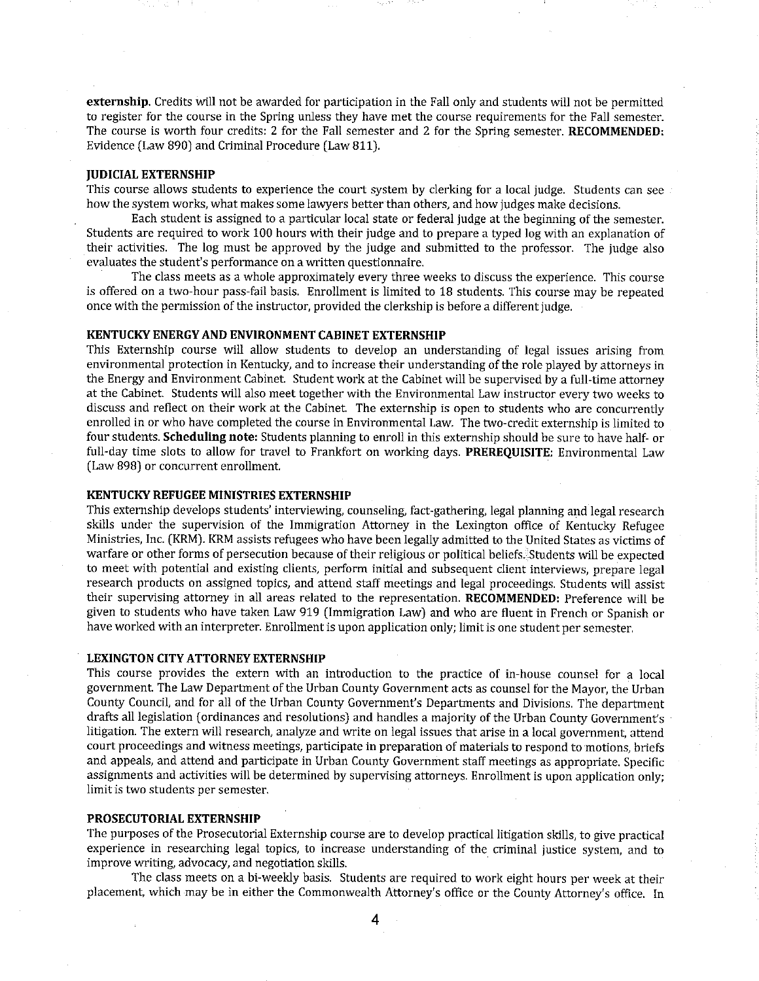externship. Credits will not be awarded for participation in the Fall only and students will not be permitted to register for the course in the Spring unless they have met the course requirements for the Fall semester. The course is worth four credits: 2 for the Fall semester and 2 for the Spring semester. RECOMMENDED: Evidence (Law 890) and Criminal Procedure (Law 811).

#### **IUDICIAL EXTERNSHIP**

This course allows students to experience the court system by clerking for a local judge. Students can see how the system works, what makes some lawyers better than others, and how judges make decisions.

Each student is assigned to a particular local state or federal judge at the beginning of the semester. Students are required to work 100 hours with their judge and to prepare a typed log with an explanation of their activities. The log must be approved by the judge and submitted to the professor. The judge also evaluates the student's performance on a written questionnaire.

The class meets as a whole approximately every three weeks to discuss the experience. This course is offered on a two-hour pass-fail basis. Enrollment is limited to 18 students. This course may be repeated once with the permission of the instructor, provided the clerkship is before a different judge.

#### KENTUCKY ENERGY AND ENVIRONMENT CABINET EXTERNSHIP

This Externship course will allow students to develop an understanding of legal issues arising from environmental protection in Kentucky, and to increase their understanding of the role played by attorneys in the Energy and Environment Cabinet. Student work at the Cabinet will be supervised by a full-time attorney at the Cabinet. Students will also meet together with the Environmental Law instructor every two weeks to discuss and reflect on their work at the Cabinet. The externship is open to students who are concurrently enrolled in or who have completed the course in Environmental Law. The two-credit externship is limited to four students. Scheduling note: Students planning to enroll in this externship should be sure to have half- or full-day time slots to allow for travel to Frankfort on working days. PREREQUISITE: Environmental Law (Law 898) or concurrent enrollment.

#### **KENTUCKY REFUGEE MINISTRIES EXTERNSHIP**

This externship develops students' interviewing, counseling, fact-gathering, legal planning and legal research skills under the supervision of the Immigration Attorney in the Lexington office of Kentucky Refugee Ministries, Inc. (KRM). KRM assists refugees who have been legally admitted to the United States as victims of warfare or other forms of persecution because of their religious or political beliefs. Students will be expected to meet with potential and existing clients, perform initial and subsequent client interviews, prepare legal research products on assigned topics, and attend staff meetings and legal proceedings. Students will assist their supervising attorney in all areas related to the representation. RECOMMENDED: Preference will be given to students who have taken Law 919 (Immigration Law) and who are fluent in French or Spanish or have worked with an interpreter. Enrollment is upon application only; limit is one student per semester.

#### **LEXINGTON CITY ATTORNEY EXTERNSHIP**

This course provides the extern with an introduction to the practice of in-house counsel for a local government. The Law Department of the Urban County Government acts as counsel for the Mayor, the Urban County Council, and for all of the Urban County Government's Departments and Divisions. The department drafts all legislation (ordinances and resolutions) and handles a majority of the Urban County Government's litigation. The extern will research, analyze and write on legal issues that arise in a local government, attend court proceedings and witness meetings, participate in preparation of materials to respond to motions, briefs and appeals, and attend and participate in Urban County Government staff meetings as appropriate. Specific assignments and activities will be determined by supervising attorneys. Enrollment is upon application only; limit is two students per semester.

#### PROSECUTORIAL EXTERNSHIP

The purposes of the Prosecutorial Externship course are to develop practical litigation skills, to give practical experience in researching legal topics, to increase understanding of the criminal justice system, and to improve writing, advocacy, and negotiation skills.

The class meets on a bi-weekly basis. Students are required to work eight hours per week at their placement, which may be in either the Commonwealth Attorney's office or the County Attorney's office. In